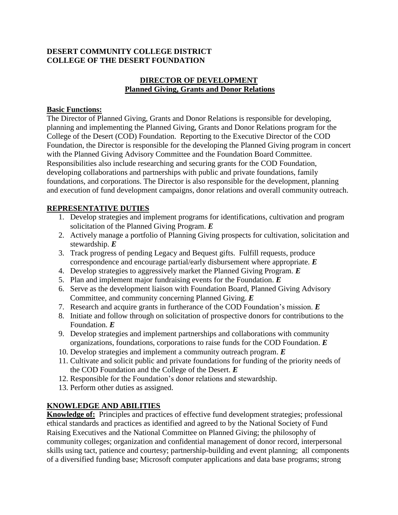#### **DESERT COMMUNITY COLLEGE DISTRICT COLLEGE OF THE DESERT FOUNDATION**

### **DIRECTOR OF DEVELOPMENT Planned Giving, Grants and Donor Relations**

#### **Basic Functions:**

The Director of Planned Giving, Grants and Donor Relations is responsible for developing, planning and implementing the Planned Giving, Grants and Donor Relations program for the College of the Desert (COD) Foundation. Reporting to the Executive Director of the COD Foundation, the Director is responsible for the developing the Planned Giving program in concert with the Planned Giving Advisory Committee and the Foundation Board Committee. Responsibilities also include researching and securing grants for the COD Foundation, developing collaborations and partnerships with public and private foundations, family foundations, and corporations. The Director is also responsible for the development, planning and execution of fund development campaigns, donor relations and overall community outreach.

### **REPRESENTATIVE DUTIES**

- 1. Develop strategies and implement programs for identifications, cultivation and program solicitation of the Planned Giving Program. *E*
- 2. Actively manage a portfolio of Planning Giving prospects for cultivation, solicitation and stewardship. *E*
- 3. Track progress of pending Legacy and Bequest gifts. Fulfill requests, produce correspondence and encourage partial/early disbursement where appropriate. *E*
- 4. Develop strategies to aggressively market the Planned Giving Program. *E*
- 5. Plan and implement major fundraising events for the Foundation. *E*
- 6. Serve as the development liaison with Foundation Board, Planned Giving Advisory Committee, and community concerning Planned Giving. *E*
- 7. Research and acquire grants in furtherance of the COD Foundation's mission. *E*
- 8. Initiate and follow through on solicitation of prospective donors for contributions to the Foundation. *E*
- 9. Develop strategies and implement partnerships and collaborations with community organizations, foundations, corporations to raise funds for the COD Foundation. *E*
- 10. Develop strategies and implement a community outreach program. *E*
- 11. Cultivate and solicit public and private foundations for funding of the priority needs of the COD Foundation and the College of the Desert. *E*
- 12. Responsible for the Foundation's donor relations and stewardship.
- 13. Perform other duties as assigned.

# **KNOWLEDGE AND ABILITIES**

**Knowledge of:** Principles and practices of effective fund development strategies; professional ethical standards and practices as identified and agreed to by the National Society of Fund Raising Executives and the National Committee on Planned Giving; the philosophy of community colleges; organization and confidential management of donor record, interpersonal skills using tact, patience and courtesy; partnership-building and event planning; all components of a diversified funding base; Microsoft computer applications and data base programs; strong